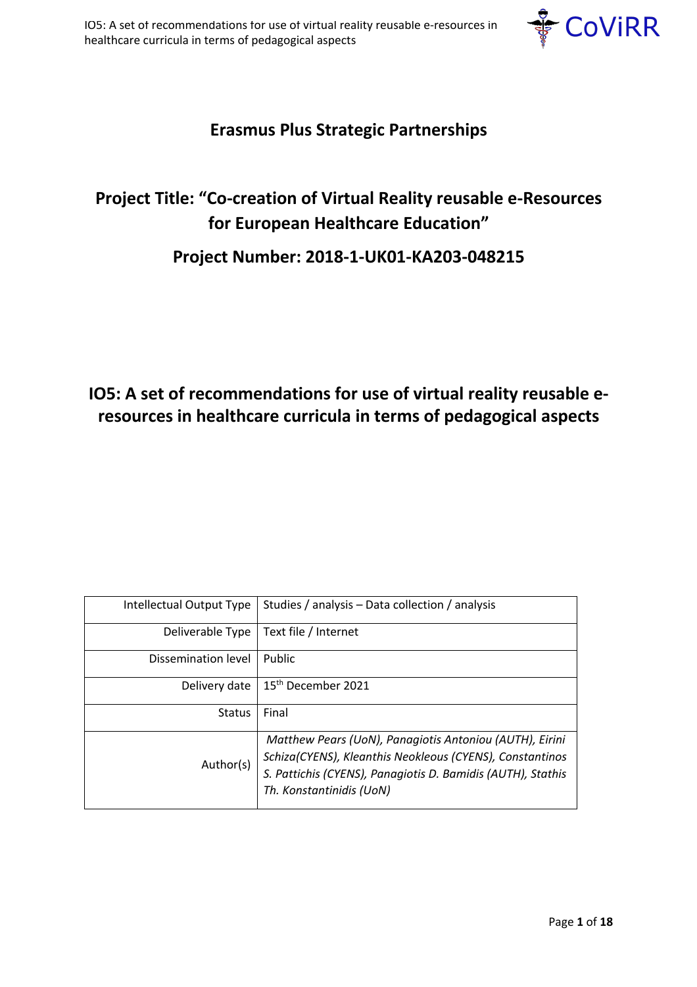

# **Erasmus Plus Strategic Partnerships**

# **Project Title: "Co-creation of Virtual Reality reusable e-Resources for European Healthcare Education"**

## **Project Number: 2018-1-UK01-KA203-048215**

# **IO5: A set of recommendations for use of virtual reality reusable eresources in healthcare curricula in terms of pedagogical aspects**

| Intellectual Output Type | Studies / analysis – Data collection / analysis                                                                                                                                                                |
|--------------------------|----------------------------------------------------------------------------------------------------------------------------------------------------------------------------------------------------------------|
| Deliverable Type         | Text file / Internet                                                                                                                                                                                           |
| Dissemination level      | Public                                                                                                                                                                                                         |
| Delivery date            | 15 <sup>th</sup> December 2021                                                                                                                                                                                 |
| <b>Status</b>            | Final                                                                                                                                                                                                          |
| Author(s)                | Matthew Pears (UoN), Panagiotis Antoniou (AUTH), Eirini<br>Schiza(CYENS), Kleanthis Neokleous (CYENS), Constantinos<br>S. Pattichis (CYENS), Panagiotis D. Bamidis (AUTH), Stathis<br>Th. Konstantinidis (UoN) |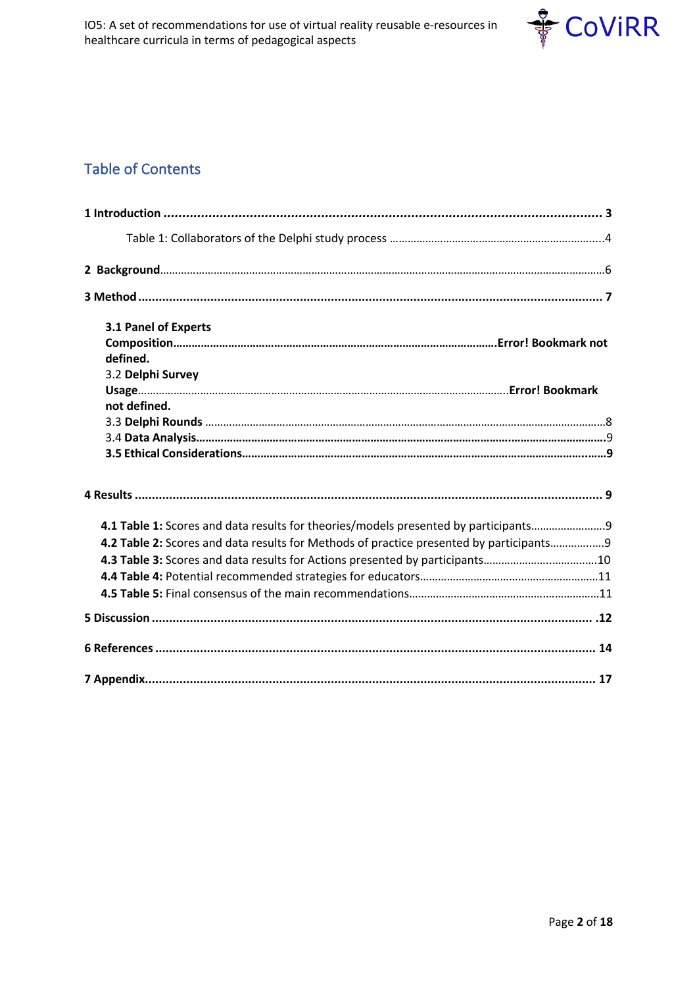

## Table of Contents

| 3.1 Panel of Experts                                                                   |
|----------------------------------------------------------------------------------------|
|                                                                                        |
| defined.<br>3.2 Delphi Survey                                                          |
|                                                                                        |
| not defined.                                                                           |
|                                                                                        |
|                                                                                        |
|                                                                                        |
|                                                                                        |
| 4.1 Table 1: Scores and data results for theories/models presented by participants     |
| 4.2 Table 2: Scores and data results for Methods of practice presented by participants |
| 4.3 Table 3: Scores and data results for Actions presented by participants10           |
|                                                                                        |
|                                                                                        |
|                                                                                        |
|                                                                                        |
|                                                                                        |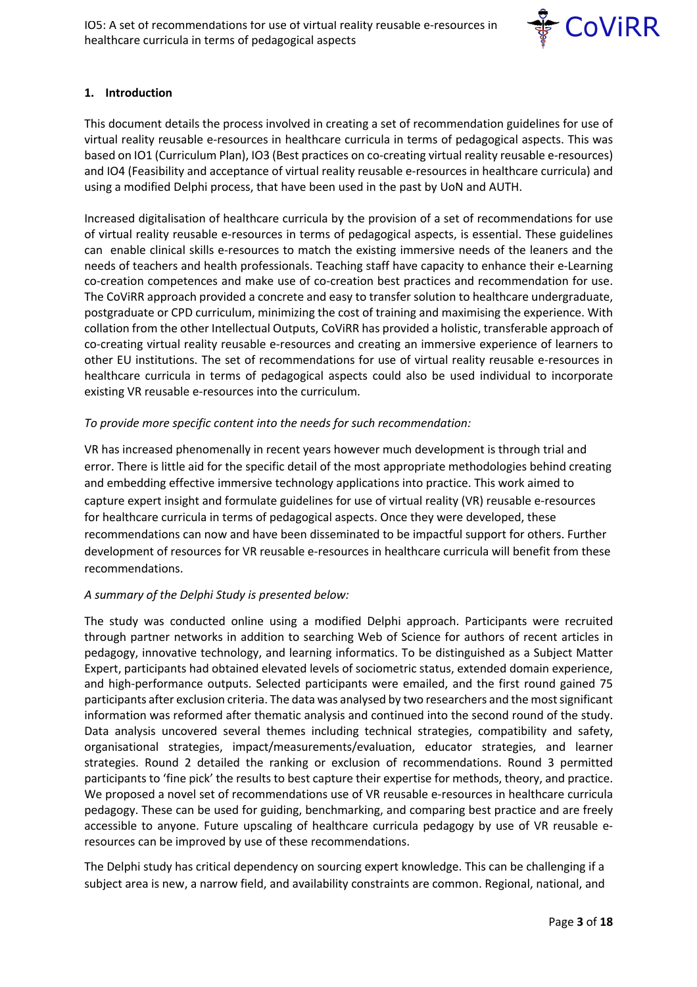

## **1. Introduction**

This document details the process involved in creating a set of recommendation guidelines for use of virtual reality reusable e-resources in healthcare curricula in terms of pedagogical aspects. This was based on IO1 (Curriculum Plan), IO3 (Best practices on co-creating virtual reality reusable e-resources) and IO4 (Feasibility and acceptance of virtual reality reusable e-resources in healthcare curricula) and using a modified Delphi process, that have been used in the past by UoN and AUTH.

Increased digitalisation of healthcare curricula by the provision of a set of recommendations for use of virtual reality reusable e-resources in terms of pedagogical aspects, is essential. These guidelines can enable clinical skills e-resources to match the existing immersive needs of the leaners and the needs of teachers and health professionals. Teaching staff have capacity to enhance their e-Learning co-creation competences and make use of co-creation best practices and recommendation for use. The CoViRR approach provided a concrete and easy to transfer solution to healthcare undergraduate, postgraduate or CPD curriculum, minimizing the cost of training and maximising the experience. With collation from the other Intellectual Outputs, CoViRR has provided a holistic, transferable approach of co-creating virtual reality reusable e-resources and creating an immersive experience of learners to other EU institutions. The set of recommendations for use of virtual reality reusable e-resources in healthcare curricula in terms of pedagogical aspects could also be used individual to incorporate existing VR reusable e-resources into the curriculum.

#### *To provide more specific content into the needs for such recommendation:*

VR has increased phenomenally in recent years however much development is through trial and error. There is little aid for the specific detail of the most appropriate methodologies behind creating and embedding effective immersive technology applications into practice. This work aimed to capture expert insight and formulate guidelines for use of virtual reality (VR) reusable e-resources for healthcare curricula in terms of pedagogical aspects. Once they were developed, these recommendations can now and have been disseminated to be impactful support for others. Further development of resources for VR reusable e-resources in healthcare curricula will benefit from these recommendations.

## *A summary of the Delphi Study is presented below:*

The study was conducted online using a modified Delphi approach. Participants were recruited through partner networks in addition to searching Web of Science for authors of recent articles in pedagogy, innovative technology, and learning informatics. To be distinguished as a Subject Matter Expert, participants had obtained elevated levels of sociometric status, extended domain experience, and high-performance outputs. Selected participants were emailed, and the first round gained 75 participants after exclusion criteria. The data was analysed by two researchers and the most significant information was reformed after thematic analysis and continued into the second round of the study. Data analysis uncovered several themes including technical strategies, compatibility and safety, organisational strategies, impact/measurements/evaluation, educator strategies, and learner strategies. Round 2 detailed the ranking or exclusion of recommendations. Round 3 permitted participants to 'fine pick' the results to best capture their expertise for methods, theory, and practice. We proposed a novel set of recommendations use of VR reusable e-resources in healthcare curricula pedagogy. These can be used for guiding, benchmarking, and comparing best practice and are freely accessible to anyone. Future upscaling of healthcare curricula pedagogy by use of VR reusable eresources can be improved by use of these recommendations.

The Delphi study has critical dependency on sourcing expert knowledge. This can be challenging if a subject area is new, a narrow field, and availability constraints are common. Regional, national, and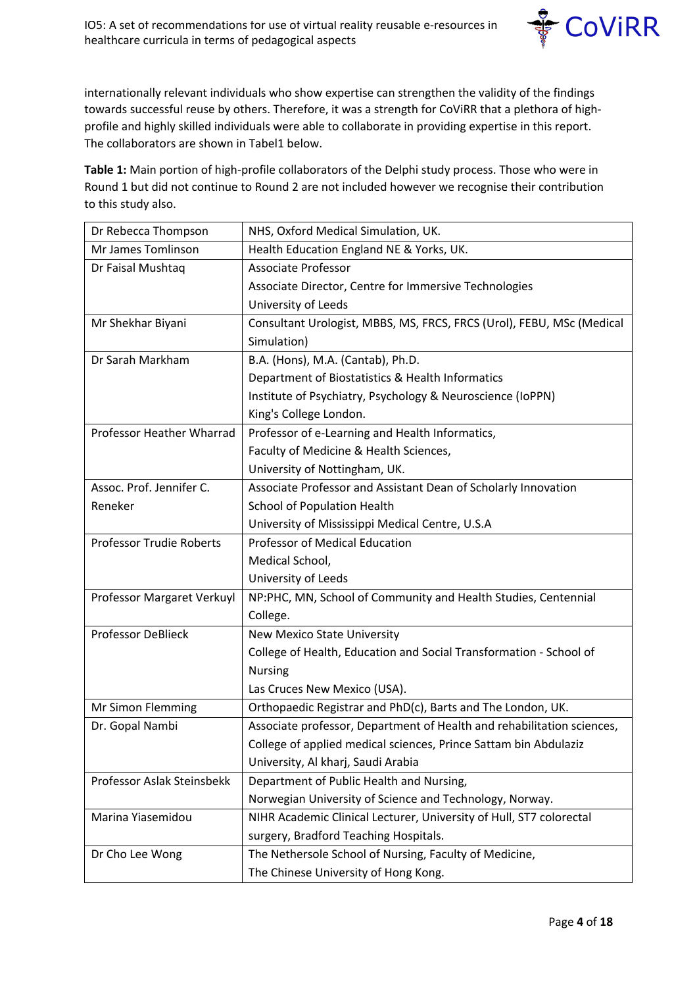

internationally relevant individuals who show expertise can strengthen the validity of the findings towards successful reuse by others. Therefore, it was a strength for CoViRR that a plethora of highprofile and highly skilled individuals were able to collaborate in providing expertise in this report. The collaborators are shown in Tabel1 below.

**Table 1:** Main portion of high-profile collaborators of the Delphi study process. Those who were in Round 1 but did not continue to Round 2 are not included however we recognise their contribution to this study also.

| Dr Rebecca Thompson             | NHS, Oxford Medical Simulation, UK.                                    |  |  |  |
|---------------------------------|------------------------------------------------------------------------|--|--|--|
| Mr James Tomlinson              | Health Education England NE & Yorks, UK.                               |  |  |  |
| Dr Faisal Mushtaq               | <b>Associate Professor</b>                                             |  |  |  |
|                                 | Associate Director, Centre for Immersive Technologies                  |  |  |  |
|                                 | University of Leeds                                                    |  |  |  |
| Mr Shekhar Biyani               | Consultant Urologist, MBBS, MS, FRCS, FRCS (Urol), FEBU, MSc (Medical  |  |  |  |
|                                 | Simulation)                                                            |  |  |  |
| Dr Sarah Markham                | B.A. (Hons), M.A. (Cantab), Ph.D.                                      |  |  |  |
|                                 | Department of Biostatistics & Health Informatics                       |  |  |  |
|                                 | Institute of Psychiatry, Psychology & Neuroscience (IoPPN)             |  |  |  |
|                                 | King's College London.                                                 |  |  |  |
| Professor Heather Wharrad       | Professor of e-Learning and Health Informatics,                        |  |  |  |
|                                 | Faculty of Medicine & Health Sciences,                                 |  |  |  |
|                                 | University of Nottingham, UK.                                          |  |  |  |
| Assoc. Prof. Jennifer C.        | Associate Professor and Assistant Dean of Scholarly Innovation         |  |  |  |
| Reneker                         | School of Population Health                                            |  |  |  |
|                                 | University of Mississippi Medical Centre, U.S.A                        |  |  |  |
| <b>Professor Trudie Roberts</b> | Professor of Medical Education                                         |  |  |  |
|                                 | Medical School,                                                        |  |  |  |
|                                 | University of Leeds                                                    |  |  |  |
| Professor Margaret Verkuyl      | NP:PHC, MN, School of Community and Health Studies, Centennial         |  |  |  |
|                                 | College.                                                               |  |  |  |
| <b>Professor DeBlieck</b>       | <b>New Mexico State University</b>                                     |  |  |  |
|                                 | College of Health, Education and Social Transformation - School of     |  |  |  |
|                                 | <b>Nursing</b>                                                         |  |  |  |
|                                 | Las Cruces New Mexico (USA).                                           |  |  |  |
| Mr Simon Flemming               | Orthopaedic Registrar and PhD(c), Barts and The London, UK.            |  |  |  |
| Dr. Gopal Nambi                 | Associate professor, Department of Health and rehabilitation sciences, |  |  |  |
|                                 | College of applied medical sciences, Prince Sattam bin Abdulaziz       |  |  |  |
|                                 | University, Al kharj, Saudi Arabia                                     |  |  |  |
| Professor Aslak Steinsbekk      | Department of Public Health and Nursing,                               |  |  |  |
|                                 | Norwegian University of Science and Technology, Norway.                |  |  |  |
| Marina Yiasemidou               | NIHR Academic Clinical Lecturer, University of Hull, ST7 colorectal    |  |  |  |
|                                 | surgery, Bradford Teaching Hospitals.                                  |  |  |  |
| Dr Cho Lee Wong                 | The Nethersole School of Nursing, Faculty of Medicine,                 |  |  |  |
|                                 | The Chinese University of Hong Kong.                                   |  |  |  |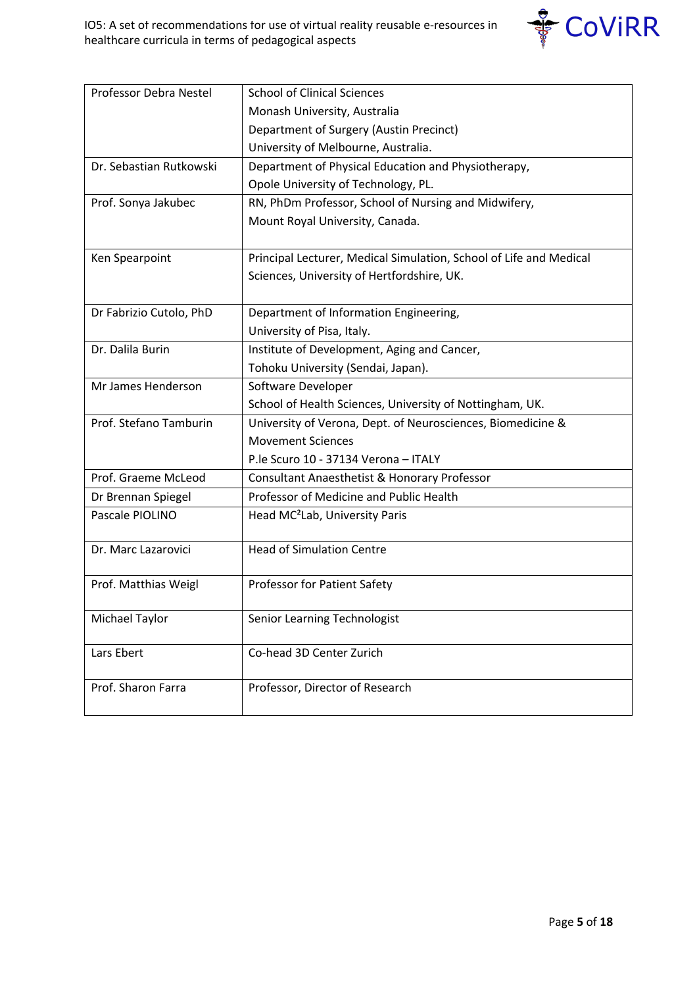

| Professor Debra Nestel  | <b>School of Clinical Sciences</b>                                 |
|-------------------------|--------------------------------------------------------------------|
|                         | Monash University, Australia                                       |
|                         | Department of Surgery (Austin Precinct)                            |
|                         | University of Melbourne, Australia.                                |
| Dr. Sebastian Rutkowski | Department of Physical Education and Physiotherapy,                |
|                         | Opole University of Technology, PL.                                |
| Prof. Sonya Jakubec     | RN, PhDm Professor, School of Nursing and Midwifery,               |
|                         | Mount Royal University, Canada.                                    |
|                         |                                                                    |
| Ken Spearpoint          | Principal Lecturer, Medical Simulation, School of Life and Medical |
|                         | Sciences, University of Hertfordshire, UK.                         |
|                         |                                                                    |
| Dr Fabrizio Cutolo, PhD | Department of Information Engineering,                             |
|                         | University of Pisa, Italy.                                         |
| Dr. Dalila Burin        | Institute of Development, Aging and Cancer,                        |
|                         | Tohoku University (Sendai, Japan).                                 |
| Mr James Henderson      | Software Developer                                                 |
|                         | School of Health Sciences, University of Nottingham, UK.           |
| Prof. Stefano Tamburin  | University of Verona, Dept. of Neurosciences, Biomedicine &        |
|                         | <b>Movement Sciences</b>                                           |
|                         | P.le Scuro 10 - 37134 Verona - ITALY                               |
| Prof. Graeme McLeod     | Consultant Anaesthetist & Honorary Professor                       |
| Dr Brennan Spiegel      | Professor of Medicine and Public Health                            |
| Pascale PIOLINO         | Head MC <sup>2</sup> Lab, University Paris                         |
|                         |                                                                    |
| Dr. Marc Lazarovici     | <b>Head of Simulation Centre</b>                                   |
|                         |                                                                    |
| Prof. Matthias Weigl    | Professor for Patient Safety                                       |
|                         |                                                                    |
| Michael Taylor          | Senior Learning Technologist                                       |
| Lars Ebert              | Co-head 3D Center Zurich                                           |
|                         |                                                                    |
| Prof. Sharon Farra      | Professor, Director of Research                                    |
|                         |                                                                    |
|                         |                                                                    |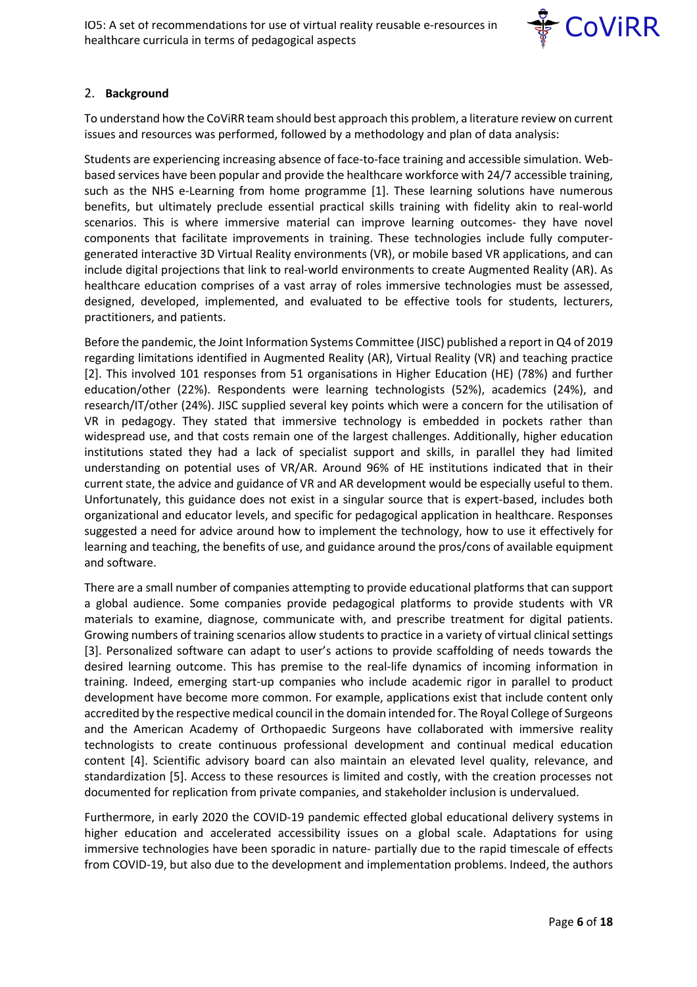

## 2. **Background**

To understand how the CoViRR team should best approach this problem, a literature review on current issues and resources was performed, followed by a methodology and plan of data analysis:

Students are experiencing increasing absence of face-to-face training and accessible simulation. Webbased services have been popular and provide the healthcare workforce with 24/7 accessible training, such as the NHS e-Learning from home programme [1]. These learning solutions have numerous benefits, but ultimately preclude essential practical skills training with fidelity akin to real-world scenarios. This is where immersive material can improve learning outcomes- they have novel components that facilitate improvements in training. These technologies include fully computergenerated interactive 3D Virtual Reality environments (VR), or mobile based VR applications, and can include digital projections that link to real-world environments to create Augmented Reality (AR). As healthcare education comprises of a vast array of roles immersive technologies must be assessed, designed, developed, implemented, and evaluated to be effective tools for students, lecturers, practitioners, and patients.

Before the pandemic, the Joint Information Systems Committee (JISC) published a report in Q4 of 2019 regarding limitations identified in Augmented Reality (AR), Virtual Reality (VR) and teaching practice [2]. This involved 101 responses from 51 organisations in Higher Education (HE) (78%) and further education/other (22%). Respondents were learning technologists (52%), academics (24%), and research/IT/other (24%). JISC supplied several key points which were a concern for the utilisation of VR in pedagogy. They stated that immersive technology is embedded in pockets rather than widespread use, and that costs remain one of the largest challenges. Additionally, higher education institutions stated they had a lack of specialist support and skills, in parallel they had limited understanding on potential uses of VR/AR. Around 96% of HE institutions indicated that in their current state, the advice and guidance of VR and AR development would be especially useful to them. Unfortunately, this guidance does not exist in a singular source that is expert-based, includes both organizational and educator levels, and specific for pedagogical application in healthcare. Responses suggested a need for advice around how to implement the technology, how to use it effectively for learning and teaching, the benefits of use, and guidance around the pros/cons of available equipment and software.

There are a small number of companies attempting to provide educational platforms that can support a global audience. Some companies provide pedagogical platforms to provide students with VR materials to examine, diagnose, communicate with, and prescribe treatment for digital patients. Growing numbers of training scenarios allow students to practice in a variety of virtual clinical settings [3]. Personalized software can adapt to user's actions to provide scaffolding of needs towards the desired learning outcome. This has premise to the real-life dynamics of incoming information in training. Indeed, emerging start-up companies who include academic rigor in parallel to product development have become more common. For example, applications exist that include content only accredited by the respective medical council in the domain intended for. The Royal College of Surgeons and the American Academy of Orthopaedic Surgeons have collaborated with immersive reality technologists to create continuous professional development and continual medical education content [4]. Scientific advisory board can also maintain an elevated level quality, relevance, and standardization [5]. Access to these resources is limited and costly, with the creation processes not documented for replication from private companies, and stakeholder inclusion is undervalued.

Furthermore, in early 2020 the COVID-19 pandemic effected global educational delivery systems in higher education and accelerated accessibility issues on a global scale. Adaptations for using immersive technologies have been sporadic in nature- partially due to the rapid timescale of effects from COVID-19, but also due to the development and implementation problems. Indeed, the authors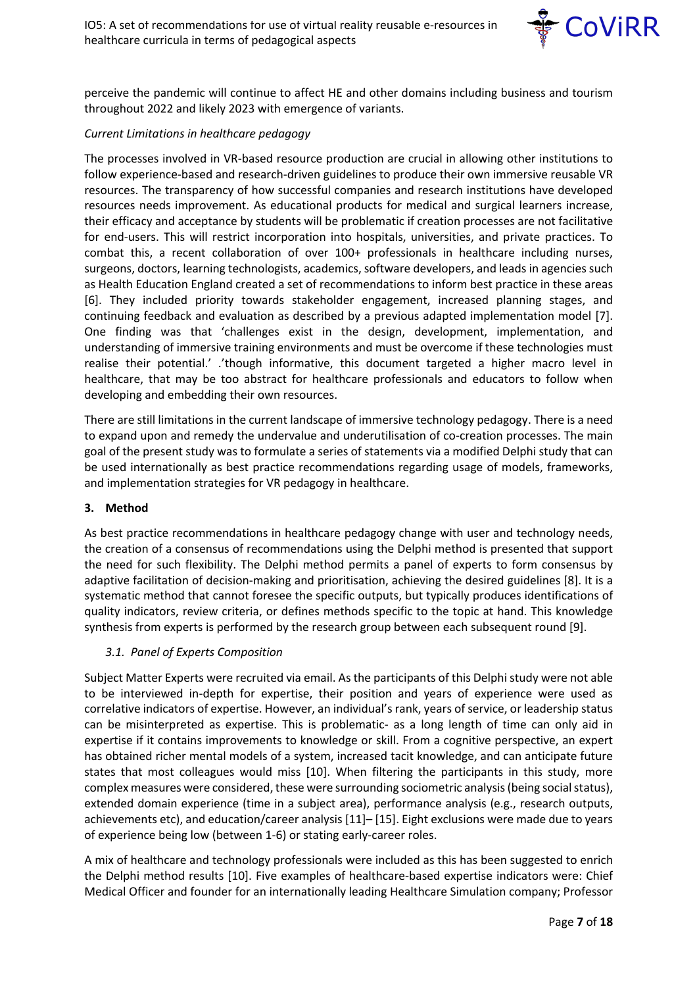

perceive the pandemic will continue to affect HE and other domains including business and tourism throughout 2022 and likely 2023 with emergence of variants.

#### *Current Limitations in healthcare pedagogy*

The processes involved in VR-based resource production are crucial in allowing other institutions to follow experience-based and research-driven guidelines to produce their own immersive reusable VR resources. The transparency of how successful companies and research institutions have developed resources needs improvement. As educational products for medical and surgical learners increase, their efficacy and acceptance by students will be problematic if creation processes are not facilitative for end-users. This will restrict incorporation into hospitals, universities, and private practices. To combat this, a recent collaboration of over 100+ professionals in healthcare including nurses, surgeons, doctors, learning technologists, academics, software developers, and leads in agencies such as Health Education England created a set of recommendations to inform best practice in these areas [6]. They included priority towards stakeholder engagement, increased planning stages, and continuing feedback and evaluation as described by a previous adapted implementation model [7]. One finding was that 'challenges exist in the design, development, implementation, and understanding of immersive training environments and must be overcome if these technologies must realise their potential.' .'though informative, this document targeted a higher macro level in healthcare, that may be too abstract for healthcare professionals and educators to follow when developing and embedding their own resources.

There are still limitations in the current landscape of immersive technology pedagogy. There is a need to expand upon and remedy the undervalue and underutilisation of co-creation processes. The main goal of the present study was to formulate a series of statements via a modified Delphi study that can be used internationally as best practice recommendations regarding usage of models, frameworks, and implementation strategies for VR pedagogy in healthcare.

#### **3. Method**

As best practice recommendations in healthcare pedagogy change with user and technology needs, the creation of a consensus of recommendations using the Delphi method is presented that support the need for such flexibility. The Delphi method permits a panel of experts to form consensus by adaptive facilitation of decision-making and prioritisation, achieving the desired guidelines [8]. It is a systematic method that cannot foresee the specific outputs, but typically produces identifications of quality indicators, review criteria, or defines methods specific to the topic at hand. This knowledge synthesis from experts is performed by the research group between each subsequent round [9].

#### *3.1. Panel of Experts Composition*

Subject Matter Experts were recruited via email. As the participants of this Delphi study were not able to be interviewed in-depth for expertise, their position and years of experience were used as correlative indicators of expertise. However, an individual's rank, years of service, or leadership status can be misinterpreted as expertise. This is problematic- as a long length of time can only aid in expertise if it contains improvements to knowledge or skill. From a cognitive perspective, an expert has obtained richer mental models of a system, increased tacit knowledge, and can anticipate future states that most colleagues would miss [10]. When filtering the participants in this study, more complex measures were considered, these were surrounding sociometric analysis (being social status), extended domain experience (time in a subject area), performance analysis (e.g., research outputs, achievements etc), and education/career analysis [11]– [15]. Eight exclusions were made due to years of experience being low (between 1-6) or stating early-career roles.

A mix of healthcare and technology professionals were included as this has been suggested to enrich the Delphi method results [10]. Five examples of healthcare-based expertise indicators were: Chief Medical Officer and founder for an internationally leading Healthcare Simulation company; Professor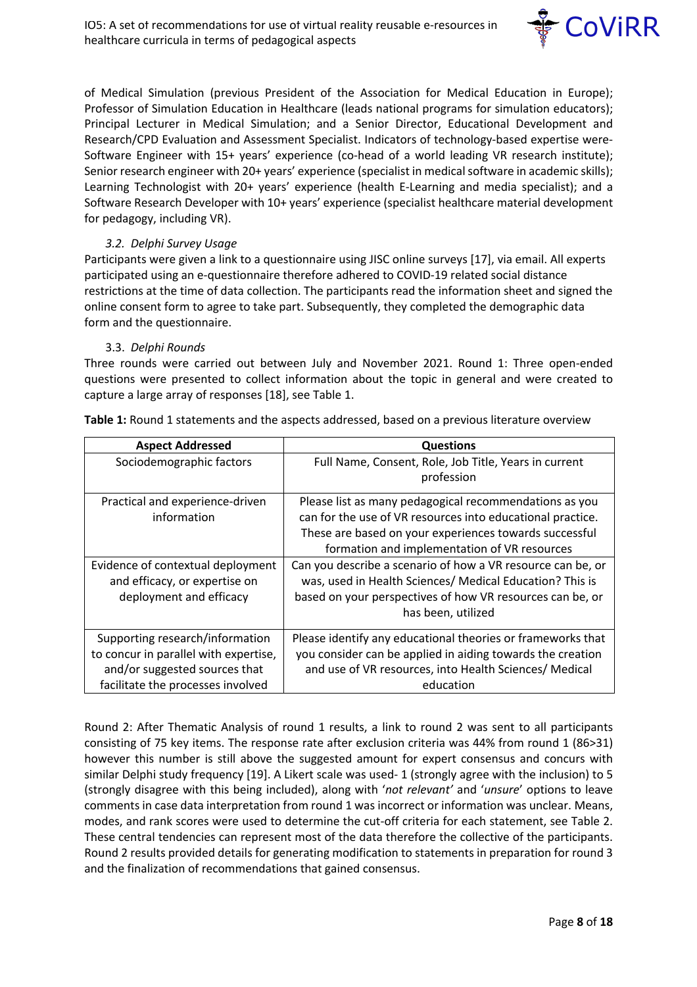

of Medical Simulation (previous President of the Association for Medical Education in Europe); Professor of Simulation Education in Healthcare (leads national programs for simulation educators); Principal Lecturer in Medical Simulation; and a Senior Director, Educational Development and Research/CPD Evaluation and Assessment Specialist. Indicators of technology-based expertise were-Software Engineer with 15+ years' experience (co-head of a world leading VR research institute); Senior research engineer with 20+ years' experience (specialist in medical software in academic skills); Learning Technologist with 20+ years' experience (health E-Learning and media specialist); and a Software Research Developer with 10+ years' experience (specialist healthcare material development for pedagogy, including VR).

#### *3.2. Delphi Survey Usage*

Participants were given a link to a questionnaire using JISC online surveys [17], via email. All experts participated using an e-questionnaire therefore adhered to COVID-19 related social distance restrictions at the time of data collection. The participants read the information sheet and signed the online consent form to agree to take part. Subsequently, they completed the demographic data form and the questionnaire.

#### 3.3. *Delphi Rounds*

Three rounds were carried out between July and November 2021. Round 1: Three open-ended questions were presented to collect information about the topic in general and were created to capture a large array of responses [18], see Table 1.

| <b>Aspect Addressed</b>               | <b>Questions</b>                                            |
|---------------------------------------|-------------------------------------------------------------|
| Sociodemographic factors              | Full Name, Consent, Role, Job Title, Years in current       |
|                                       | profession                                                  |
| Practical and experience-driven       | Please list as many pedagogical recommendations as you      |
| information                           | can for the use of VR resources into educational practice.  |
|                                       | These are based on your experiences towards successful      |
|                                       | formation and implementation of VR resources                |
| Evidence of contextual deployment     | Can you describe a scenario of how a VR resource can be, or |
| and efficacy, or expertise on         | was, used in Health Sciences/ Medical Education? This is    |
| deployment and efficacy               | based on your perspectives of how VR resources can be, or   |
|                                       | has been, utilized                                          |
| Supporting research/information       | Please identify any educational theories or frameworks that |
| to concur in parallel with expertise, | you consider can be applied in aiding towards the creation  |
| and/or suggested sources that         | and use of VR resources, into Health Sciences/ Medical      |
| facilitate the processes involved     | education                                                   |

**Table 1:** Round 1 statements and the aspects addressed, based on a previous literature overview

Round 2: After Thematic Analysis of round 1 results, a link to round 2 was sent to all participants consisting of 75 key items. The response rate after exclusion criteria was 44% from round 1 (86>31) however this number is still above the suggested amount for expert consensus and concurs with similar Delphi study frequency [19]. A Likert scale was used- 1 (strongly agree with the inclusion) to 5 (strongly disagree with this being included), along with '*not relevant'* and '*unsure*' options to leave comments in case data interpretation from round 1 was incorrect or information was unclear. Means, modes, and rank scores were used to determine the cut-off criteria for each statement, see Table 2. These central tendencies can represent most of the data therefore the collective of the participants. Round 2 results provided details for generating modification to statements in preparation for round 3 and the finalization of recommendations that gained consensus.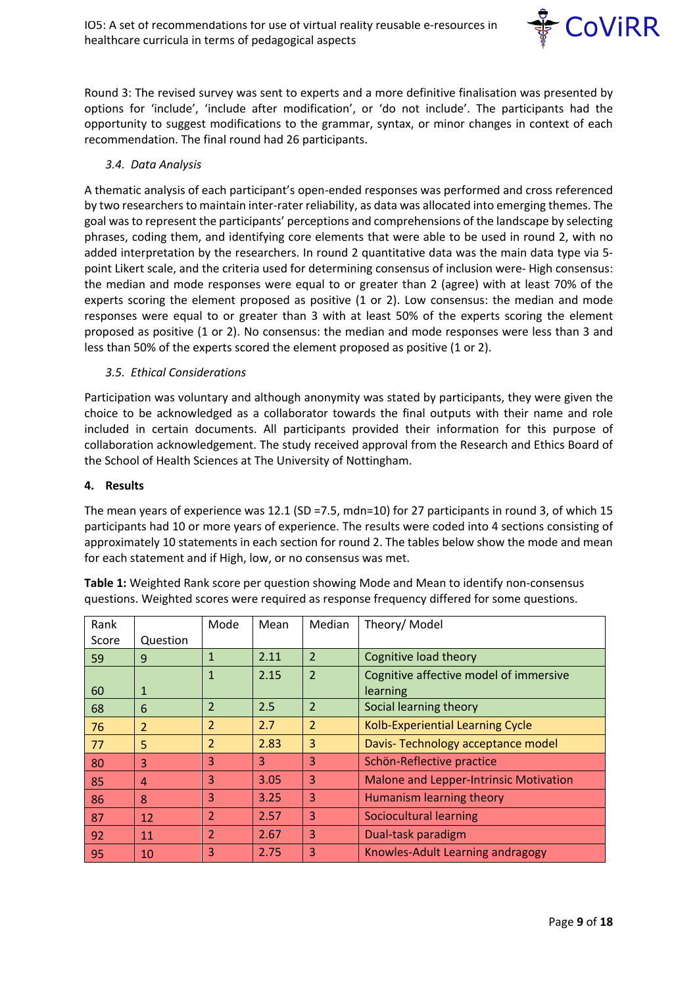

Round 3: The revised survey was sent to experts and a more definitive finalisation was presented by options for 'include', 'include after modification', or 'do not include'. The participants had the opportunity to suggest modifications to the grammar, syntax, or minor changes in context of each recommendation. The final round had 26 participants.

#### *3.4. Data Analysis*

A thematic analysis of each participant's open-ended responses was performed and cross referenced by two researchers to maintain inter-rater reliability, as data was allocated into emerging themes. The goal was to represent the participants' perceptions and comprehensions of the landscape by selecting phrases, coding them, and identifying core elements that were able to be used in round 2, with no added interpretation by the researchers. In round 2 quantitative data was the main data type via 5 point Likert scale, and the criteria used for determining consensus of inclusion were- High consensus: the median and mode responses were equal to or greater than 2 (agree) with at least 70% of the experts scoring the element proposed as positive (1 or 2). Low consensus: the median and mode responses were equal to or greater than 3 with at least 50% of the experts scoring the element proposed as positive (1 or 2). No consensus: the median and mode responses were less than 3 and less than 50% of the experts scored the element proposed as positive (1 or 2).

#### *3.5. Ethical Considerations*

Participation was voluntary and although anonymity was stated by participants, they were given the choice to be acknowledged as a collaborator towards the final outputs with their name and role included in certain documents. All participants provided their information for this purpose of collaboration acknowledgement. The study received approval from the Research and Ethics Board of the School of Health Sciences at The University of Nottingham.

#### **4. Results**

The mean years of experience was 12.1 (SD =7.5, mdn=10) for 27 participants in round 3, of which 15 participants had 10 or more years of experience. The results were coded into 4 sections consisting of approximately 10 statements in each section for round 2. The tables below show the mode and mean for each statement and if High, low, or no consensus was met.

| Rank  |                | Mode                     | Mean | Median         | Theory/ Model                           |
|-------|----------------|--------------------------|------|----------------|-----------------------------------------|
| Score | Question       |                          |      |                |                                         |
| 59    | 9              | $\mathbf{1}$             | 2.11 | $\overline{2}$ | Cognitive load theory                   |
|       |                | $\mathbf{1}$             | 2.15 | $\overline{2}$ | Cognitive affective model of immersive  |
| 60    | $\mathbf{1}$   |                          |      |                | learning                                |
| 68    | 6              | $\overline{2}$           | 2.5  | $\overline{2}$ | Social learning theory                  |
| 76    | $\overline{2}$ | $\overline{2}$           | 2.7  | $\overline{2}$ | <b>Kolb-Experiential Learning Cycle</b> |
| 77    | 5              | $\overline{2}$           | 2.83 | 3              | Davis-Technology acceptance model       |
| 80    | 3              | 3                        | 3    | 3              | Schön-Reflective practice               |
| 85    | 4              | 3                        | 3.05 | 3              | Malone and Lepper-Intrinsic Motivation  |
| 86    | 8              | 3                        | 3.25 | 3              | Humanism learning theory                |
| 87    | 12             | $\overline{2}$           | 2.57 | 3              | Sociocultural learning                  |
| 92    | 11             | $\overline{\mathcal{L}}$ | 2.67 | 3              | Dual-task paradigm                      |
| 95    | 10             | 3                        | 2.75 | 3              | Knowles-Adult Learning andragogy        |

**Table 1:** Weighted Rank score per question showing Mode and Mean to identify non-consensus questions. Weighted scores were required as response frequency differed for some questions.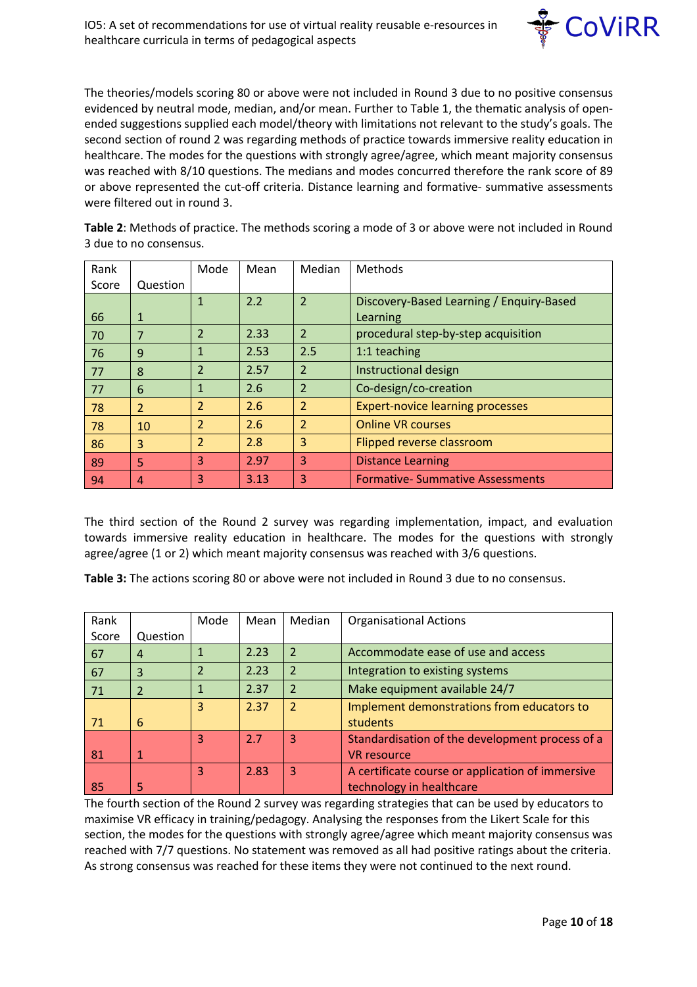

The theories/models scoring 80 or above were not included in Round 3 due to no positive consensus evidenced by neutral mode, median, and/or mean. Further to Table 1, the thematic analysis of openended suggestions supplied each model/theory with limitations not relevant to the study's goals. The second section of round 2 was regarding methods of practice towards immersive reality education in healthcare. The modes for the questions with strongly agree/agree, which meant majority consensus was reached with 8/10 questions. The medians and modes concurred therefore the rank score of 89 or above represented the cut-off criteria. Distance learning and formative- summative assessments were filtered out in round 3.

**Table 2**: Methods of practice. The methods scoring a mode of 3 or above were not included in Round 3 due to no consensus.

| Rank  |                | Mode           | Mean | Median         | Methods                                  |
|-------|----------------|----------------|------|----------------|------------------------------------------|
| Score | Question       |                |      |                |                                          |
|       |                | $\mathbf{1}$   | 2.2  | $\overline{2}$ | Discovery-Based Learning / Enquiry-Based |
| 66    | $\mathbf{1}$   |                |      |                | Learning                                 |
| 70    | 7              | 2              | 2.33 | 2              | procedural step-by-step acquisition      |
| 76    | 9              | $\mathbf{1}$   | 2.53 | 2.5            | 1:1 teaching                             |
| 77    | 8              | $\overline{2}$ | 2.57 | $\overline{2}$ | Instructional design                     |
| 77    | 6              | $\mathbf{1}$   | 2.6  | 2              | Co-design/co-creation                    |
| 78    | $\overline{2}$ | $\overline{2}$ | 2.6  | 2              | <b>Expert-novice learning processes</b>  |
| 78    | 10             | $\overline{2}$ | 2.6  | 2              | <b>Online VR courses</b>                 |
| 86    | 3              | $\overline{2}$ | 2.8  | 3              | Flipped reverse classroom                |
| 89    | 5              | 3              | 2.97 | 3              | <b>Distance Learning</b>                 |
| 94    | $\overline{4}$ | 3              | 3.13 | 3              | <b>Formative-Summative Assessments</b>   |

The third section of the Round 2 survey was regarding implementation, impact, and evaluation towards immersive reality education in healthcare. The modes for the questions with strongly agree/agree (1 or 2) which meant majority consensus was reached with 3/6 questions.

**Table 3:** The actions scoring 80 or above were not included in Round 3 due to no consensus.

| Rank  |              | Mode                     | Mean | Median                  | <b>Organisational Actions</b>                    |
|-------|--------------|--------------------------|------|-------------------------|--------------------------------------------------|
| Score | Question     |                          |      |                         |                                                  |
| 67    | 4            |                          | 2.23 | $\overline{2}$          | Accommodate ease of use and access               |
| 67    | 3            | $\overline{\mathcal{L}}$ | 2.23 | $\overline{2}$          | Integration to existing systems                  |
| 71    | 2            |                          | 2.37 | $\overline{2}$          | Make equipment available 24/7                    |
|       |              | 3                        | 2.37 | $\overline{\mathbf{c}}$ | Implement demonstrations from educators to       |
| 71    | 6            |                          |      |                         | students                                         |
|       |              | 3                        | 2.7  | 3                       | Standardisation of the development process of a  |
| 81    | $\mathbf{1}$ |                          |      |                         | <b>VR</b> resource                               |
|       |              | 3                        | 2.83 | 3                       | A certificate course or application of immersive |
| 85    | 5            |                          |      |                         | technology in healthcare                         |

The fourth section of the Round 2 survey was regarding strategies that can be used by educators to maximise VR efficacy in training/pedagogy. Analysing the responses from the Likert Scale for this section, the modes for the questions with strongly agree/agree which meant majority consensus was reached with 7/7 questions. No statement was removed as all had positive ratings about the criteria. As strong consensus was reached for these items they were not continued to the next round.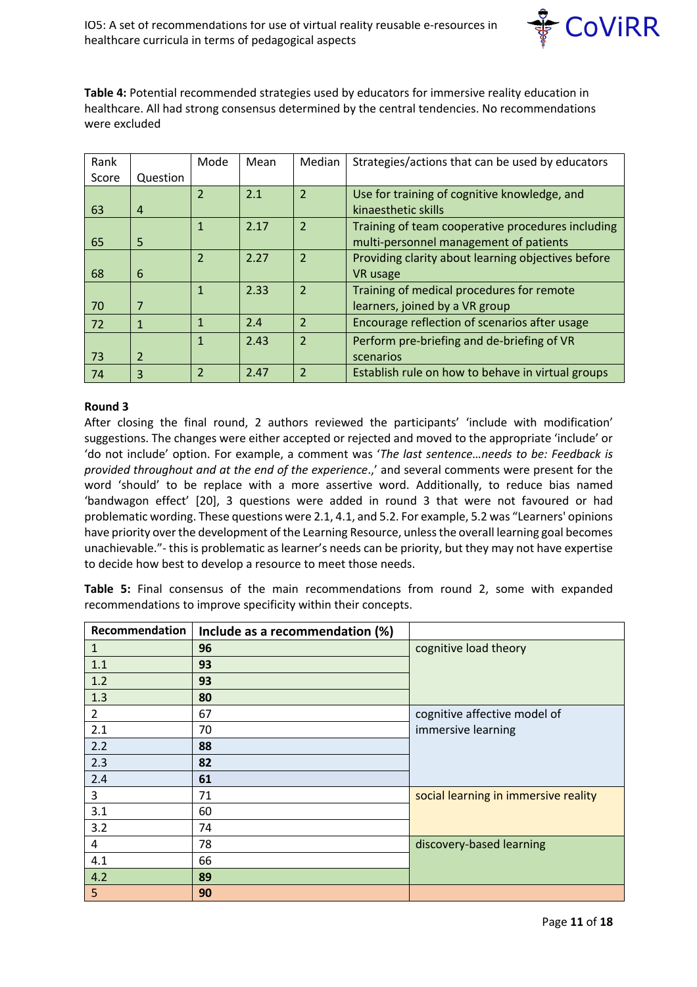

**Table 4:** Potential recommended strategies used by educators for immersive reality education in healthcare. All had strong consensus determined by the central tendencies. No recommendations were excluded

| Rank  |                | Mode                    | Mean | Median         | Strategies/actions that can be used by educators   |
|-------|----------------|-------------------------|------|----------------|----------------------------------------------------|
| Score | Question       |                         |      |                |                                                    |
|       |                | $\overline{2}$          | 2.1  | $\overline{2}$ | Use for training of cognitive knowledge, and       |
| 63    | 4              |                         |      |                | kinaesthetic skills                                |
|       |                | $\mathbf{1}$            | 2.17 | $\overline{2}$ | Training of team cooperative procedures including  |
| 65    | 5              |                         |      |                | multi-personnel management of patients             |
|       |                | $\overline{2}$          | 2.27 | $\overline{2}$ | Providing clarity about learning objectives before |
| 68    | 6              |                         |      |                | <b>VR</b> usage                                    |
|       |                | $\mathbf{1}$            | 2.33 | $\overline{2}$ | Training of medical procedures for remote          |
| 70    | 7              |                         |      |                | learners, joined by a VR group                     |
| 72    | 1              | $\mathbf{1}$            | 2.4  | $\overline{2}$ | Encourage reflection of scenarios after usage      |
|       |                | $\mathbf{1}$            | 2.43 | $\overline{2}$ | Perform pre-briefing and de-briefing of VR         |
| 73    | $\overline{2}$ |                         |      |                | scenarios                                          |
| 74    | 3              | $\overline{\mathbf{c}}$ | 2.47 | $\overline{2}$ | Establish rule on how to behave in virtual groups  |

#### **Round 3**

After closing the final round, 2 authors reviewed the participants' 'include with modification' suggestions. The changes were either accepted or rejected and moved to the appropriate 'include' or 'do not include' option. For example, a comment was '*The last sentence…needs to be: Feedback is provided throughout and at the end of the experience*.,' and several comments were present for the word 'should' to be replace with a more assertive word. Additionally, to reduce bias named 'bandwagon effect' [20], 3 questions were added in round 3 that were not favoured or had problematic wording. These questions were 2.1, 4.1, and 5.2. For example, 5.2 was "Learners' opinions have priority over the development of the Learning Resource, unless the overall learning goal becomes unachievable."- this is problematic as learner's needs can be priority, but they may not have expertise to decide how best to develop a resource to meet those needs.

**Table 5:** Final consensus of the main recommendations from round 2, some with expanded recommendations to improve specificity within their concepts.

| <b>Recommendation</b> | Include as a recommendation (%) |                                      |
|-----------------------|---------------------------------|--------------------------------------|
| 1                     | 96                              | cognitive load theory                |
| 1.1                   | 93                              |                                      |
| 1.2                   | 93                              |                                      |
| 1.3                   | 80                              |                                      |
| $\overline{2}$        | 67                              | cognitive affective model of         |
| 2.1                   | 70                              | immersive learning                   |
| 2.2                   | 88                              |                                      |
| 2.3                   | 82                              |                                      |
| 2.4                   | 61                              |                                      |
| 3                     | 71                              | social learning in immersive reality |
| 3.1                   | 60                              |                                      |
| 3.2                   | 74                              |                                      |
| 4                     | 78                              | discovery-based learning             |
| 4.1                   | 66                              |                                      |
| 4.2                   | 89                              |                                      |
| 5                     | 90                              |                                      |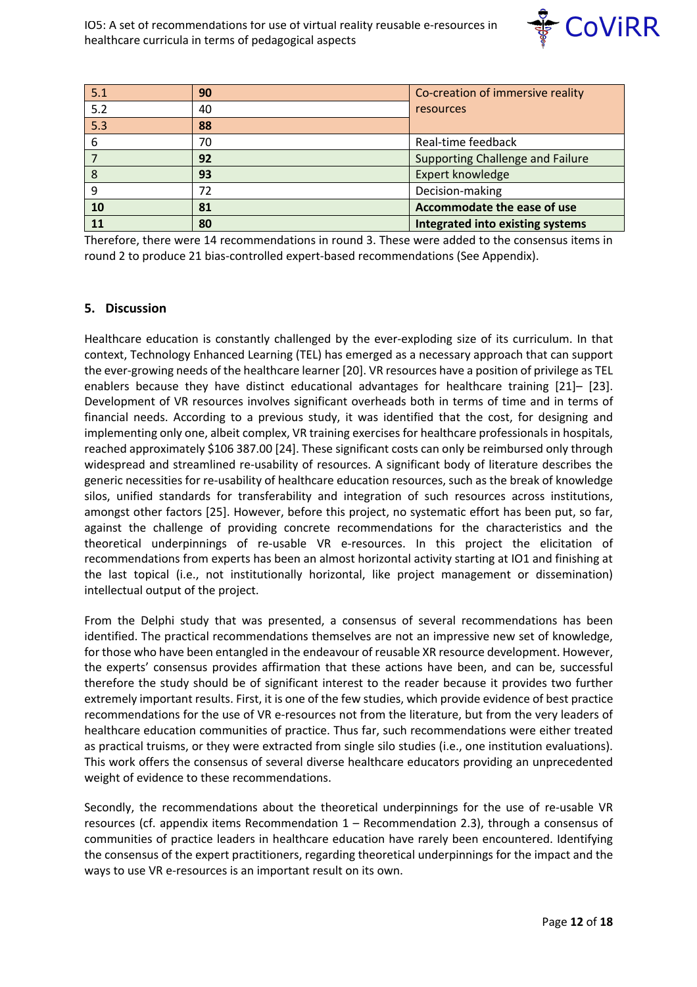

| 5.1              | 90 | Co-creation of immersive reality        |
|------------------|----|-----------------------------------------|
| $\overline{5.2}$ | 40 | resources                               |
| $\overline{5.3}$ | 88 |                                         |
| 6                | 70 | Real-time feedback                      |
|                  | 92 | Supporting Challenge and Failure        |
| 8                | 93 | Expert knowledge                        |
| 9                | 72 | Decision-making                         |
| 10               | 81 | Accommodate the ease of use             |
| 11               | 80 | <b>Integrated into existing systems</b> |

Therefore, there were 14 recommendations in round 3. These were added to the consensus items in round 2 to produce 21 bias-controlled expert-based recommendations (See Appendix).

#### **5. Discussion**

Healthcare education is constantly challenged by the ever-exploding size of its curriculum. In that context, Technology Enhanced Learning (TEL) has emerged as a necessary approach that can support the ever-growing needs of the healthcare learner [20]. VR resources have a position of privilege as TEL enablers because they have distinct educational advantages for healthcare training [21]– [23]. Development of VR resources involves significant overheads both in terms of time and in terms of financial needs. According to a previous study, it was identified that the cost, for designing and implementing only one, albeit complex, VR training exercises for healthcare professionals in hospitals, reached approximately \$106 387.00 [24]. These significant costs can only be reimbursed only through widespread and streamlined re-usability of resources. A significant body of literature describes the generic necessities for re-usability of healthcare education resources, such as the break of knowledge silos, unified standards for transferability and integration of such resources across institutions, amongst other factors [25]. However, before this project, no systematic effort has been put, so far, against the challenge of providing concrete recommendations for the characteristics and the theoretical underpinnings of re-usable VR e-resources. In this project the elicitation of recommendations from experts has been an almost horizontal activity starting at IO1 and finishing at the last topical (i.e., not institutionally horizontal, like project management or dissemination) intellectual output of the project.

From the Delphi study that was presented, a consensus of several recommendations has been identified. The practical recommendations themselves are not an impressive new set of knowledge, for those who have been entangled in the endeavour of reusable XR resource development. However, the experts' consensus provides affirmation that these actions have been, and can be, successful therefore the study should be of significant interest to the reader because it provides two further extremely important results. First, it is one of the few studies, which provide evidence of best practice recommendations for the use of VR e-resources not from the literature, but from the very leaders of healthcare education communities of practice. Thus far, such recommendations were either treated as practical truisms, or they were extracted from single silo studies (i.e., one institution evaluations). This work offers the consensus of several diverse healthcare educators providing an unprecedented weight of evidence to these recommendations.

Secondly, the recommendations about the theoretical underpinnings for the use of re-usable VR resources (cf. appendix items Recommendation 1 – Recommendation 2.3), through a consensus of communities of practice leaders in healthcare education have rarely been encountered. Identifying the consensus of the expert practitioners, regarding theoretical underpinnings for the impact and the ways to use VR e-resources is an important result on its own.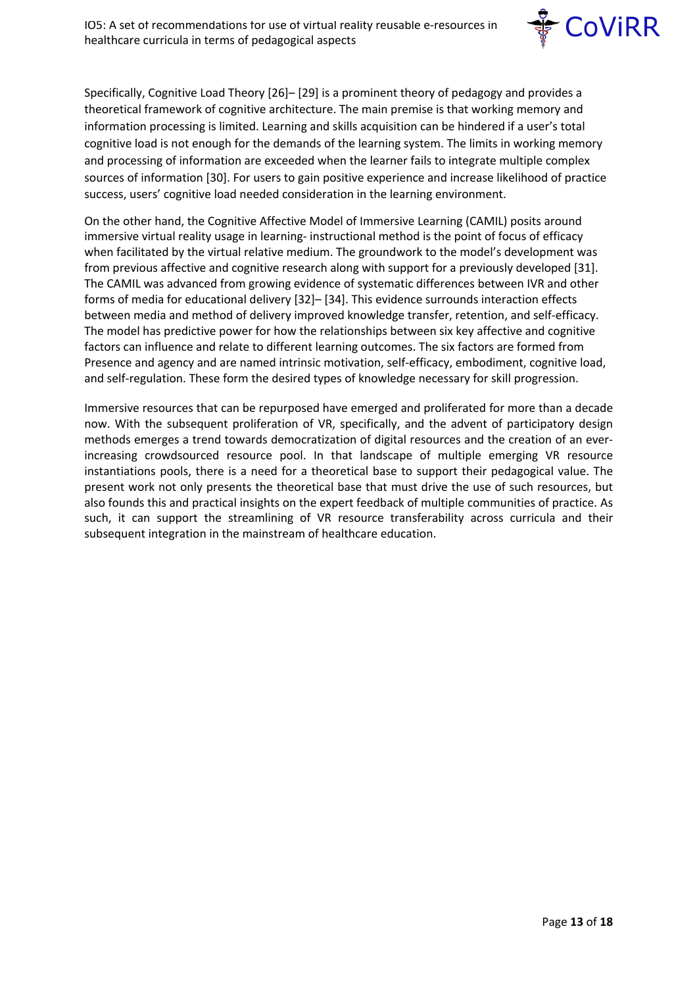

Specifically, Cognitive Load Theory [26]– [29] is a prominent theory of pedagogy and provides a theoretical framework of cognitive architecture. The main premise is that working memory and information processing is limited. Learning and skills acquisition can be hindered if a user's total cognitive load is not enough for the demands of the learning system. The limits in working memory and processing of information are exceeded when the learner fails to integrate multiple complex sources of information [30]. For users to gain positive experience and increase likelihood of practice success, users' cognitive load needed consideration in the learning environment.

On the other hand, the Cognitive Affective Model of Immersive Learning (CAMIL) posits around immersive virtual reality usage in learning- instructional method is the point of focus of efficacy when facilitated by the virtual relative medium. The groundwork to the model's development was from previous affective and cognitive research along with support for a previously developed [31]. The CAMIL was advanced from growing evidence of systematic differences between IVR and other forms of media for educational delivery [32]– [34]. This evidence surrounds interaction effects between media and method of delivery improved knowledge transfer, retention, and self-efficacy. The model has predictive power for how the relationships between six key affective and cognitive factors can influence and relate to different learning outcomes. The six factors are formed from Presence and agency and are named intrinsic motivation, self-efficacy, embodiment, cognitive load, and self-regulation. These form the desired types of knowledge necessary for skill progression.

Immersive resources that can be repurposed have emerged and proliferated for more than a decade now. With the subsequent proliferation of VR, specifically, and the advent of participatory design methods emerges a trend towards democratization of digital resources and the creation of an everincreasing crowdsourced resource pool. In that landscape of multiple emerging VR resource instantiations pools, there is a need for a theoretical base to support their pedagogical value. The present work not only presents the theoretical base that must drive the use of such resources, but also founds this and practical insights on the expert feedback of multiple communities of practice. As such, it can support the streamlining of VR resource transferability across curricula and their subsequent integration in the mainstream of healthcare education.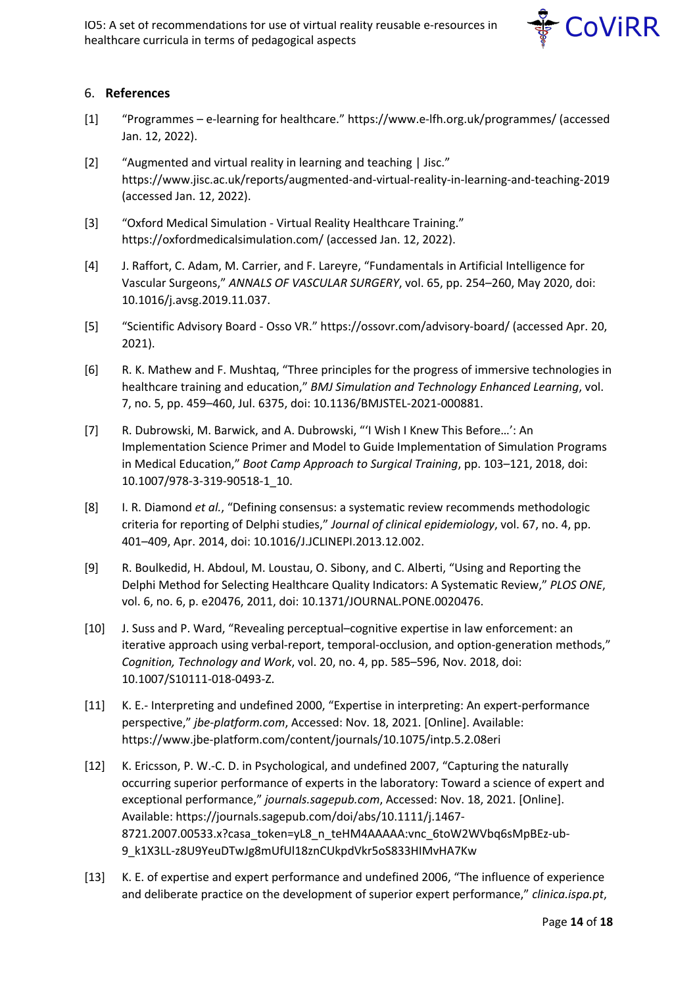

## 6. **References**

- [1] "Programmes e-learning for healthcare." https://www.e-lfh.org.uk/programmes/ (accessed Jan. 12, 2022).
- [2] "Augmented and virtual reality in learning and teaching | Jisc." https://www.jisc.ac.uk/reports/augmented-and-virtual-reality-in-learning-and-teaching-2019 (accessed Jan. 12, 2022).
- [3] "Oxford Medical Simulation Virtual Reality Healthcare Training." https://oxfordmedicalsimulation.com/ (accessed Jan. 12, 2022).
- [4] J. Raffort, C. Adam, M. Carrier, and F. Lareyre, "Fundamentals in Artificial Intelligence for Vascular Surgeons," *ANNALS OF VASCULAR SURGERY*, vol. 65, pp. 254–260, May 2020, doi: 10.1016/j.avsg.2019.11.037.
- [5] "Scientific Advisory Board Osso VR." https://ossovr.com/advisory-board/ (accessed Apr. 20, 2021).
- [6] R. K. Mathew and F. Mushtaq, "Three principles for the progress of immersive technologies in healthcare training and education," *BMJ Simulation and Technology Enhanced Learning*, vol. 7, no. 5, pp. 459–460, Jul. 6375, doi: 10.1136/BMJSTEL-2021-000881.
- [7] R. Dubrowski, M. Barwick, and A. Dubrowski, "'I Wish I Knew This Before…': An Implementation Science Primer and Model to Guide Implementation of Simulation Programs in Medical Education," *Boot Camp Approach to Surgical Training*, pp. 103–121, 2018, doi: 10.1007/978-3-319-90518-1\_10.
- [8] I. R. Diamond *et al.*, "Defining consensus: a systematic review recommends methodologic criteria for reporting of Delphi studies," *Journal of clinical epidemiology*, vol. 67, no. 4, pp. 401–409, Apr. 2014, doi: 10.1016/J.JCLINEPI.2013.12.002.
- [9] R. Boulkedid, H. Abdoul, M. Loustau, O. Sibony, and C. Alberti, "Using and Reporting the Delphi Method for Selecting Healthcare Quality Indicators: A Systematic Review," *PLOS ONE*, vol. 6, no. 6, p. e20476, 2011, doi: 10.1371/JOURNAL.PONE.0020476.
- [10] J. Suss and P. Ward, "Revealing perceptual–cognitive expertise in law enforcement: an iterative approach using verbal-report, temporal-occlusion, and option-generation methods," *Cognition, Technology and Work*, vol. 20, no. 4, pp. 585–596, Nov. 2018, doi: 10.1007/S10111-018-0493-Z.
- [11] K. E.- Interpreting and undefined 2000, "Expertise in interpreting: An expert-performance perspective," *jbe-platform.com*, Accessed: Nov. 18, 2021. [Online]. Available: https://www.jbe-platform.com/content/journals/10.1075/intp.5.2.08eri
- [12] K. Ericsson, P. W.-C. D. in Psychological, and undefined 2007, "Capturing the naturally occurring superior performance of experts in the laboratory: Toward a science of expert and exceptional performance," *journals.sagepub.com*, Accessed: Nov. 18, 2021. [Online]. Available: https://journals.sagepub.com/doi/abs/10.1111/j.1467- 8721.2007.00533.x?casa\_token=yL8\_n\_teHM4AAAAA:vnc\_6toW2WVbq6sMpBEz-ub-9\_k1X3LL-z8U9YeuDTwJg8mUfUl18znCUkpdVkr5oS833HIMvHA7Kw
- [13] K. E. of expertise and expert performance and undefined 2006, "The influence of experience and deliberate practice on the development of superior expert performance," *clinica.ispa.pt*,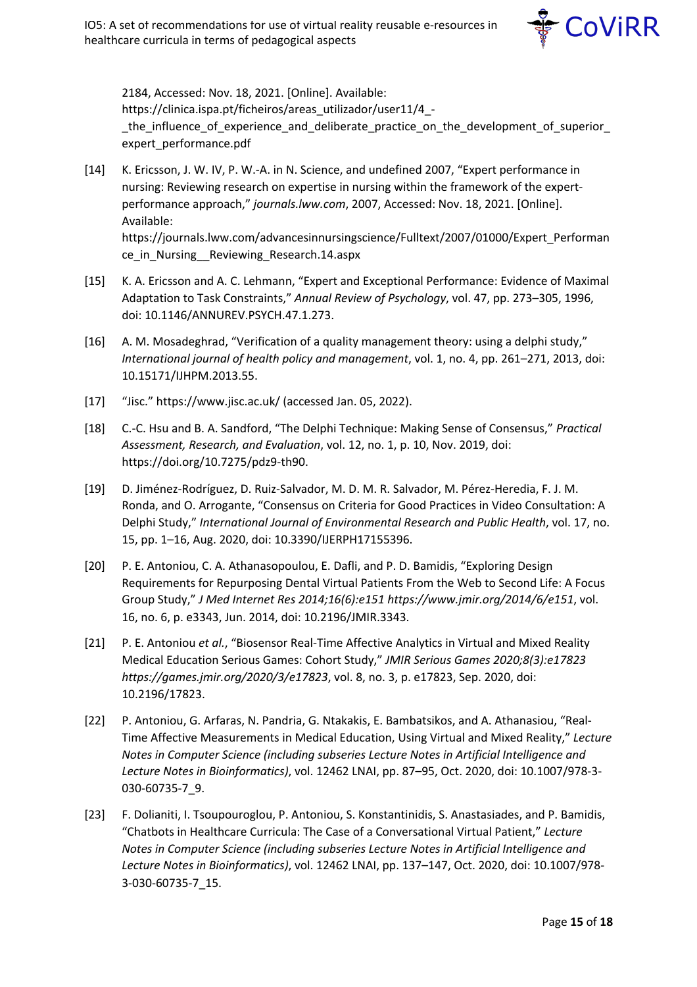

2184, Accessed: Nov. 18, 2021. [Online]. Available: https://clinica.ispa.pt/ficheiros/areas\_utilizador/user11/4\_ the influence of experience and deliberate practice on the development of superior expert\_performance.pdf

- [14] K. Ericsson, J. W. IV, P. W.-A. in N. Science, and undefined 2007, "Expert performance in nursing: Reviewing research on expertise in nursing within the framework of the expertperformance approach," *journals.lww.com*, 2007, Accessed: Nov. 18, 2021. [Online]. Available: https://journals.lww.com/advancesinnursingscience/Fulltext/2007/01000/Expert\_Performan ce in Nursing Reviewing Research.14.aspx
- [15] K. A. Ericsson and A. C. Lehmann, "Expert and Exceptional Performance: Evidence of Maximal Adaptation to Task Constraints," *Annual Review of Psychology*, vol. 47, pp. 273–305, 1996, doi: 10.1146/ANNUREV.PSYCH.47.1.273.
- [16] A. M. Mosadeghrad, "Verification of a quality management theory: using a delphi study," *International journal of health policy and management*, vol. 1, no. 4, pp. 261–271, 2013, doi: 10.15171/IJHPM.2013.55.
- [17] "Jisc." https://www.jisc.ac.uk/ (accessed Jan. 05, 2022).
- [18] C.-C. Hsu and B. A. Sandford, "The Delphi Technique: Making Sense of Consensus," *Practical Assessment, Research, and Evaluation*, vol. 12, no. 1, p. 10, Nov. 2019, doi: https://doi.org/10.7275/pdz9-th90.
- [19] D. Jiménez-Rodríguez, D. Ruiz-Salvador, M. D. M. R. Salvador, M. Pérez-Heredia, F. J. M. Ronda, and O. Arrogante, "Consensus on Criteria for Good Practices in Video Consultation: A Delphi Study," *International Journal of Environmental Research and Public Health*, vol. 17, no. 15, pp. 1–16, Aug. 2020, doi: 10.3390/IJERPH17155396.
- [20] P. E. Antoniou, C. A. Athanasopoulou, E. Dafli, and P. D. Bamidis, "Exploring Design Requirements for Repurposing Dental Virtual Patients From the Web to Second Life: A Focus Group Study," *J Med Internet Res 2014;16(6):e151 https://www.jmir.org/2014/6/e151*, vol. 16, no. 6, p. e3343, Jun. 2014, doi: 10.2196/JMIR.3343.
- [21] P. E. Antoniou *et al.*, "Biosensor Real-Time Affective Analytics in Virtual and Mixed Reality Medical Education Serious Games: Cohort Study," *JMIR Serious Games 2020;8(3):e17823 https://games.jmir.org/2020/3/e17823*, vol. 8, no. 3, p. e17823, Sep. 2020, doi: 10.2196/17823.
- [22] P. Antoniou, G. Arfaras, N. Pandria, G. Ntakakis, E. Bambatsikos, and A. Athanasiou, "Real-Time Affective Measurements in Medical Education, Using Virtual and Mixed Reality," *Lecture Notes in Computer Science (including subseries Lecture Notes in Artificial Intelligence and Lecture Notes in Bioinformatics)*, vol. 12462 LNAI, pp. 87–95, Oct. 2020, doi: 10.1007/978-3- 030-60735-7\_9.
- [23] F. Dolianiti, I. Tsoupouroglou, P. Antoniou, S. Konstantinidis, S. Anastasiades, and P. Bamidis, "Chatbots in Healthcare Curricula: The Case of a Conversational Virtual Patient," *Lecture Notes in Computer Science (including subseries Lecture Notes in Artificial Intelligence and Lecture Notes in Bioinformatics)*, vol. 12462 LNAI, pp. 137–147, Oct. 2020, doi: 10.1007/978- 3-030-60735-7\_15.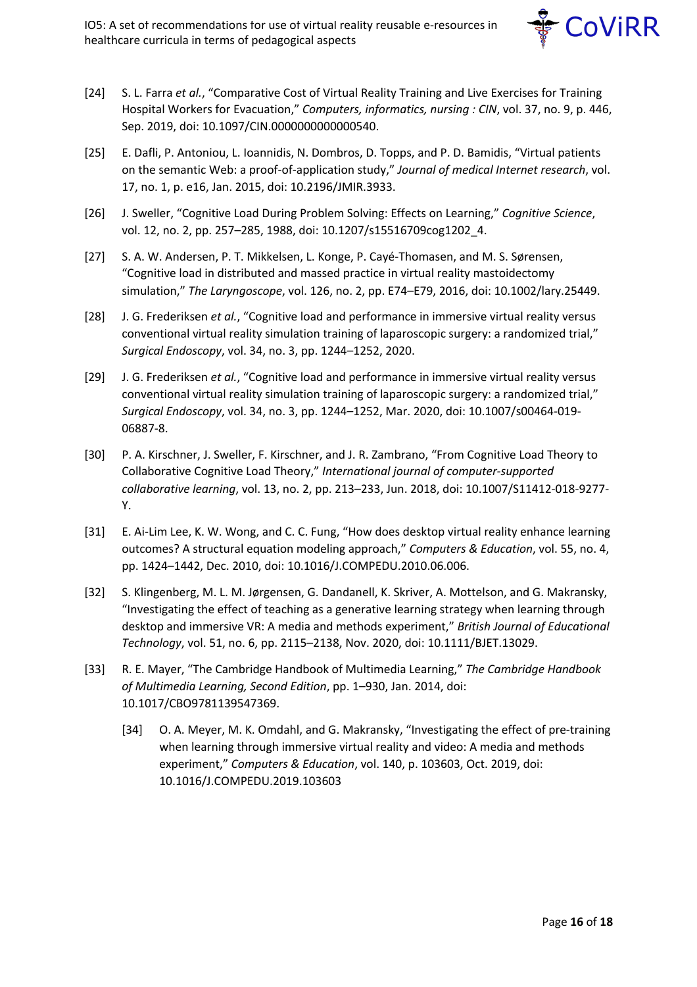

- [24] S. L. Farra *et al.*, "Comparative Cost of Virtual Reality Training and Live Exercises for Training Hospital Workers for Evacuation," *Computers, informatics, nursing : CIN*, vol. 37, no. 9, p. 446, Sep. 2019, doi: 10.1097/CIN.0000000000000540.
- [25] E. Dafli, P. Antoniou, L. Ioannidis, N. Dombros, D. Topps, and P. D. Bamidis, "Virtual patients on the semantic Web: a proof-of-application study," *Journal of medical Internet research*, vol. 17, no. 1, p. e16, Jan. 2015, doi: 10.2196/JMIR.3933.
- [26] J. Sweller, "Cognitive Load During Problem Solving: Effects on Learning," *Cognitive Science*, vol. 12, no. 2, pp. 257–285, 1988, doi: 10.1207/s15516709cog1202\_4.
- [27] S. A. W. Andersen, P. T. Mikkelsen, L. Konge, P. Cayé-Thomasen, and M. S. Sørensen, "Cognitive load in distributed and massed practice in virtual reality mastoidectomy simulation," *The Laryngoscope*, vol. 126, no. 2, pp. E74–E79, 2016, doi: 10.1002/lary.25449.
- [28] J. G. Frederiksen *et al.*, "Cognitive load and performance in immersive virtual reality versus conventional virtual reality simulation training of laparoscopic surgery: a randomized trial," *Surgical Endoscopy*, vol. 34, no. 3, pp. 1244–1252, 2020.
- [29] J. G. Frederiksen *et al.*, "Cognitive load and performance in immersive virtual reality versus conventional virtual reality simulation training of laparoscopic surgery: a randomized trial," *Surgical Endoscopy*, vol. 34, no. 3, pp. 1244–1252, Mar. 2020, doi: 10.1007/s00464-019- 06887-8.
- [30] P. A. Kirschner, J. Sweller, F. Kirschner, and J. R. Zambrano, "From Cognitive Load Theory to Collaborative Cognitive Load Theory," *International journal of computer-supported collaborative learning*, vol. 13, no. 2, pp. 213–233, Jun. 2018, doi: 10.1007/S11412-018-9277- Y.
- [31] E. Ai-Lim Lee, K. W. Wong, and C. C. Fung, "How does desktop virtual reality enhance learning outcomes? A structural equation modeling approach," *Computers & Education*, vol. 55, no. 4, pp. 1424–1442, Dec. 2010, doi: 10.1016/J.COMPEDU.2010.06.006.
- [32] S. Klingenberg, M. L. M. Jørgensen, G. Dandanell, K. Skriver, A. Mottelson, and G. Makransky, "Investigating the effect of teaching as a generative learning strategy when learning through desktop and immersive VR: A media and methods experiment," *British Journal of Educational Technology*, vol. 51, no. 6, pp. 2115–2138, Nov. 2020, doi: 10.1111/BJET.13029.
- [33] R. E. Mayer, "The Cambridge Handbook of Multimedia Learning," *The Cambridge Handbook of Multimedia Learning, Second Edition*, pp. 1–930, Jan. 2014, doi: 10.1017/CBO9781139547369.
	- [34] O. A. Meyer, M. K. Omdahl, and G. Makransky, "Investigating the effect of pre-training when learning through immersive virtual reality and video: A media and methods experiment," *Computers & Education*, vol. 140, p. 103603, Oct. 2019, doi: 10.1016/J.COMPEDU.2019.103603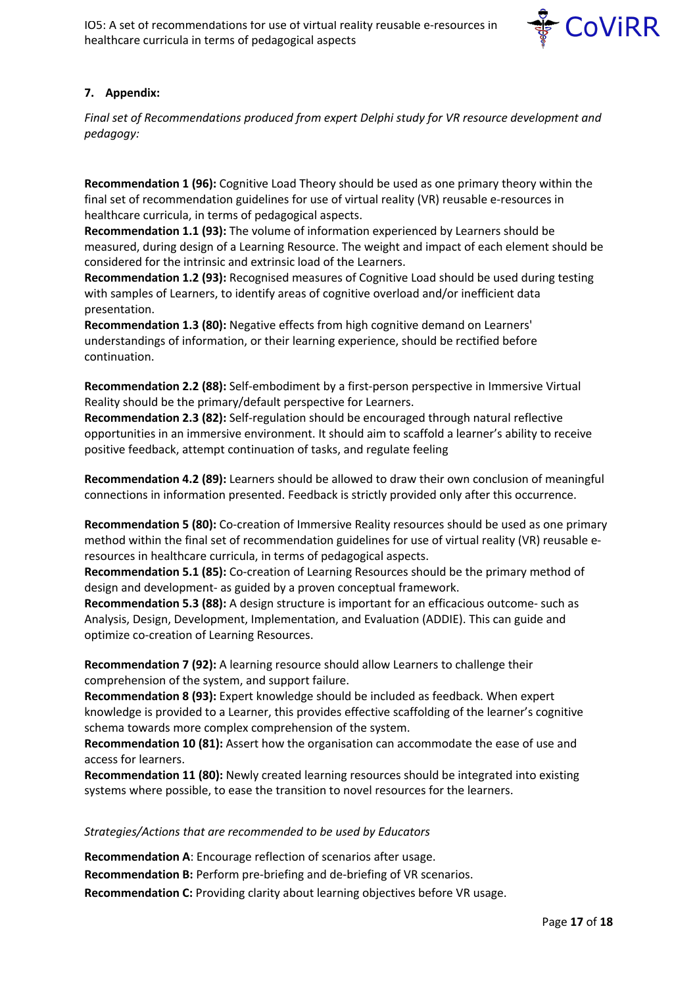

## **7. Appendix:**

*Final set of Recommendations produced from expert Delphi study for VR resource development and pedagogy:*

**Recommendation 1 (96):** Cognitive Load Theory should be used as one primary theory within the final set of recommendation guidelines for use of virtual reality (VR) reusable e-resources in healthcare curricula, in terms of pedagogical aspects.

**Recommendation 1.1 (93):** The volume of information experienced by Learners should be measured, during design of a Learning Resource. The weight and impact of each element should be considered for the intrinsic and extrinsic load of the Learners.

**Recommendation 1.2 (93):** Recognised measures of Cognitive Load should be used during testing with samples of Learners, to identify areas of cognitive overload and/or inefficient data presentation.

**Recommendation 1.3 (80):** Negative effects from high cognitive demand on Learners' understandings of information, or their learning experience, should be rectified before continuation.

**Recommendation 2.2 (88):** Self-embodiment by a first-person perspective in Immersive Virtual Reality should be the primary/default perspective for Learners.

**Recommendation 2.3 (82):** Self-regulation should be encouraged through natural reflective opportunities in an immersive environment. It should aim to scaffold a learner's ability to receive positive feedback, attempt continuation of tasks, and regulate feeling

**Recommendation 4.2 (89):** Learners should be allowed to draw their own conclusion of meaningful connections in information presented. Feedback is strictly provided only after this occurrence.

**Recommendation 5 (80):** Co-creation of Immersive Reality resources should be used as one primary method within the final set of recommendation guidelines for use of virtual reality (VR) reusable eresources in healthcare curricula, in terms of pedagogical aspects.

**Recommendation 5.1 (85):** Co-creation of Learning Resources should be the primary method of design and development- as guided by a proven conceptual framework.

**Recommendation 5.3 (88):** A design structure is important for an efficacious outcome- such as Analysis, Design, Development, Implementation, and Evaluation (ADDIE). This can guide and optimize co-creation of Learning Resources.

**Recommendation 7 (92):** A learning resource should allow Learners to challenge their comprehension of the system, and support failure.

**Recommendation 8 (93):** Expert knowledge should be included as feedback. When expert knowledge is provided to a Learner, this provides effective scaffolding of the learner's cognitive schema towards more complex comprehension of the system.

**Recommendation 10 (81):** Assert how the organisation can accommodate the ease of use and access for learners.

**Recommendation 11 (80):** Newly created learning resources should be integrated into existing systems where possible, to ease the transition to novel resources for the learners.

*Strategies/Actions that are recommended to be used by Educators* 

**Recommendation A**: Encourage reflection of scenarios after usage.

**Recommendation B:** Perform pre-briefing and de-briefing of VR scenarios.

**Recommendation C:** Providing clarity about learning objectives before VR usage.